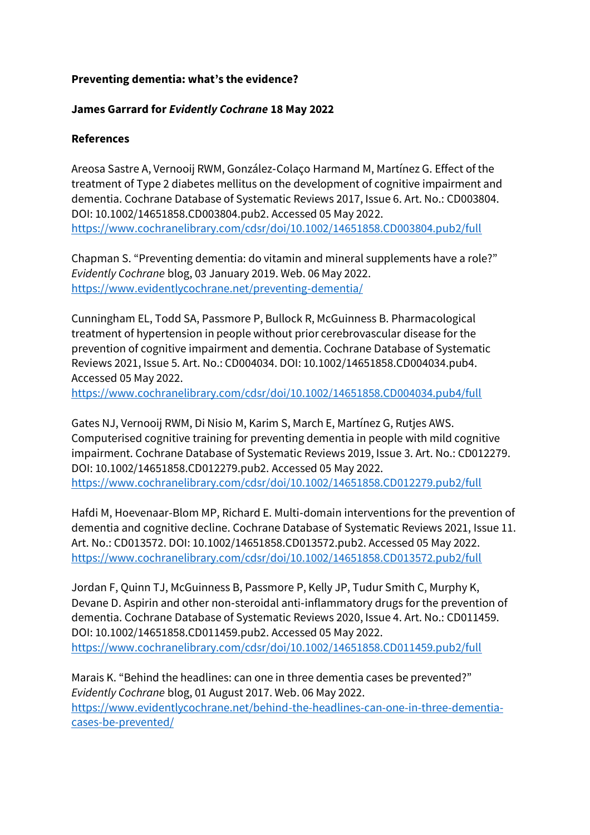## **Preventing dementia: what's the evidence?**

## **James Garrard for** *Evidently Cochrane* **18 May 2022**

## **References**

Areosa Sastre A, Vernooij RWM, González‐Colaço Harmand M, Martínez G. Effect of the treatment of Type 2 diabetes mellitus on the development of cognitive impairment and dementia. Cochrane Database of Systematic Reviews 2017, Issue 6. Art. No.: CD003804. DOI: 10.1002/14651858.CD003804.pub2. Accessed 05 May 2022. <https://www.cochranelibrary.com/cdsr/doi/10.1002/14651858.CD003804.pub2/full>

Chapman S. "Preventing dementia: do vitamin and mineral supplements have a role?" *Evidently Cochrane* blog, 03 January 2019. Web. 06 May 2022. <https://www.evidentlycochrane.net/preventing-dementia/>

Cunningham EL, Todd SA, Passmore P, Bullock R, McGuinness B. Pharmacological treatment of hypertension in people without prior cerebrovascular disease for the prevention of cognitive impairment and dementia. Cochrane Database of Systematic Reviews 2021, Issue 5. Art. No.: CD004034. DOI: 10.1002/14651858.CD004034.pub4. Accessed 05 May 2022.

<https://www.cochranelibrary.com/cdsr/doi/10.1002/14651858.CD004034.pub4/full>

Gates NJ, Vernooij RWM, Di Nisio M, Karim S, March E, Martínez G, Rutjes AWS. Computerised cognitive training for preventing dementia in people with mild cognitive impairment. Cochrane Database of Systematic Reviews 2019, Issue 3. Art. No.: CD012279. DOI: 10.1002/14651858.CD012279.pub2. Accessed 05 May 2022. <https://www.cochranelibrary.com/cdsr/doi/10.1002/14651858.CD012279.pub2/full>

Hafdi M, Hoevenaar-Blom MP, Richard E. Multi-domain interventions for the prevention of dementia and cognitive decline. Cochrane Database of Systematic Reviews 2021, Issue 11. Art. No.: CD013572. DOI: 10.1002/14651858.CD013572.pub2. Accessed 05 May 2022. <https://www.cochranelibrary.com/cdsr/doi/10.1002/14651858.CD013572.pub2/full>

Jordan F, Quinn TJ, McGuinness B, Passmore P, Kelly JP, Tudur Smith C, Murphy K, Devane D. Aspirin and other non‐steroidal anti‐inflammatory drugs for the prevention of dementia. Cochrane Database of Systematic Reviews 2020, Issue 4. Art. No.: CD011459. DOI: 10.1002/14651858.CD011459.pub2. Accessed 05 May 2022. <https://www.cochranelibrary.com/cdsr/doi/10.1002/14651858.CD011459.pub2/full>

Marais K. "Behind the headlines: can one in three dementia cases be prevented?" *Evidently Cochrane* blog, 01 August 2017. Web. 06 May 2022. [https://www.evidentlycochrane.net/behind-the-headlines-can-one-in-three-dementia](https://www.evidentlycochrane.net/behind-the-headlines-can-one-in-three-dementia-cases-be-prevented/)[cases-be-prevented/](https://www.evidentlycochrane.net/behind-the-headlines-can-one-in-three-dementia-cases-be-prevented/)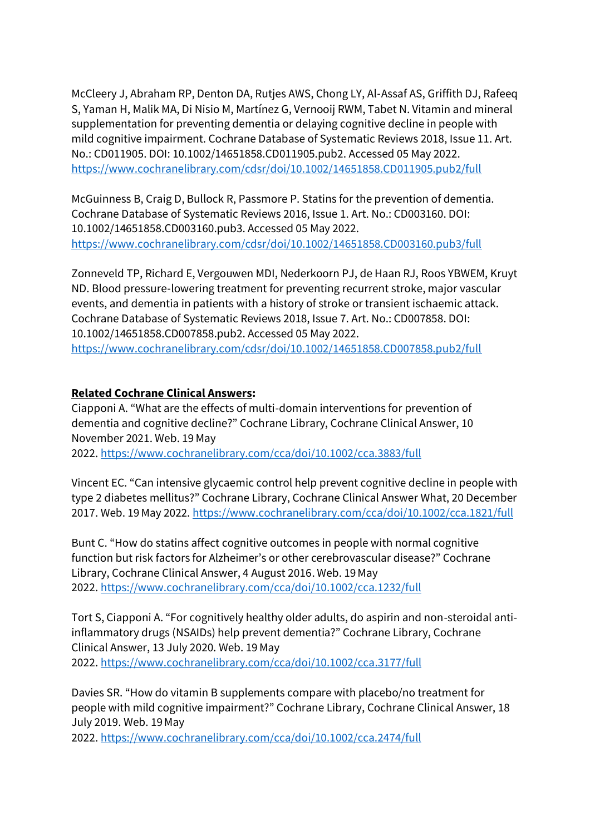McCleery J, Abraham RP, Denton DA, Rutjes AWS, Chong LY, Al‐Assaf AS, Griffith DJ, Rafeeq S, Yaman H, Malik MA, Di Nisio M, Martínez G, Vernooij RWM, Tabet N. Vitamin and mineral supplementation for preventing dementia or delaying cognitive decline in people with mild cognitive impairment. Cochrane Database of Systematic Reviews 2018, Issue 11. Art. No.: CD011905. DOI: 10.1002/14651858.CD011905.pub2. Accessed 05 May 2022. <https://www.cochranelibrary.com/cdsr/doi/10.1002/14651858.CD011905.pub2/full>

McGuinness B, Craig D, Bullock R, Passmore P. Statins for the prevention of dementia. Cochrane Database of Systematic Reviews 2016, Issue 1. Art. No.: CD003160. DOI: 10.1002/14651858.CD003160.pub3. Accessed 05 May 2022. <https://www.cochranelibrary.com/cdsr/doi/10.1002/14651858.CD003160.pub3/full>

Zonneveld TP, Richard E, Vergouwen MDI, Nederkoorn PJ, de Haan RJ, Roos YBWEM, Kruyt ND. Blood pressure‐lowering treatment for preventing recurrent stroke, major vascular events, and dementia in patients with a history of stroke or transient ischaemic attack. Cochrane Database of Systematic Reviews 2018, Issue 7. Art. No.: CD007858. DOI: 10.1002/14651858.CD007858.pub2. Accessed 05 May 2022. <https://www.cochranelibrary.com/cdsr/doi/10.1002/14651858.CD007858.pub2/full>

## **Related Cochrane Clinical Answers:**

Ciapponi A. "What are the effects of multi-domain interventions for prevention of dementia and cognitive decline?" Cochrane Library, Cochrane Clinical Answer, 10 November 2021. Web. 19 May 2022. <https://www.cochranelibrary.com/cca/doi/10.1002/cca.3883/full>

Vincent EC. "Can intensive glycaemic control help prevent cognitive decline in people with type 2 diabetes mellitus?" Cochrane Library, Cochrane Clinical Answer What, 20 December 2017. Web. 19May 2022. <https://www.cochranelibrary.com/cca/doi/10.1002/cca.1821/full>

Bunt C. "How do statins affect cognitive outcomes in people with normal cognitive function but risk factors for Alzheimer's or other cerebrovascular disease?" Cochrane Library, Cochrane Clinical Answer, 4 August 2016. Web. 19May 2022. <https://www.cochranelibrary.com/cca/doi/10.1002/cca.1232/full>

Tort S, Ciapponi A. "For cognitively healthy older adults, do aspirin and non-steroidal antiinflammatory drugs (NSAIDs) help prevent dementia?" Cochrane Library, Cochrane Clinical Answer, 13 July 2020. Web. 19 May 2022. <https://www.cochranelibrary.com/cca/doi/10.1002/cca.3177/full>

Davies SR. "How do vitamin B supplements compare with placebo/no treatment for people with mild cognitive impairment?" Cochrane Library, Cochrane Clinical Answer, 18 July 2019. Web. 19May

2022. <https://www.cochranelibrary.com/cca/doi/10.1002/cca.2474/full>